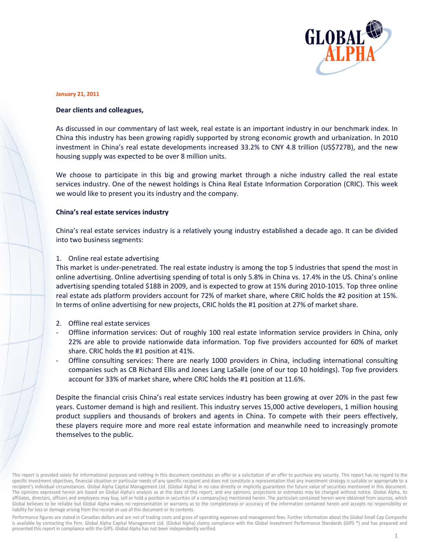

#### **January 21, 2011**

#### Dear clients and colleagues,

As discussed in our commentary of last week, real estate is an important industry in our benchmark index. In China this industry has been growing rapidly supported by strong economic growth and urbanization. In 2010 investment in China's real estate developments increased 33.2% to CNY 4.8 trillion (US\$727B), and the new housing supply was expected to be over 8 million units.

We choose to participate in this big and growing market through a niche industry called the real estate services industry. One of the newest holdings is China Real Estate Information Corporation (CRIC). This week we would like to present you its industry and the company.

#### China's real estate services industry

China's real estate services industry is a relatively young industry established a decade ago. It can be divided into two business segments:

#### 1. Online real estate advertising

This market is under-penetrated. The real estate industry is among the top 5 industries that spend the most in online advertising. Online advertising spending of total is only 5.8% in China vs. 17.4% in the US. China's online advertising spending totaled \$18B in 2009, and is expected to grow at 15% during 2010-1015. Top three online real estate ads platform providers account for 72% of market share, where CRIC holds the #2 position at 15%. In terms of online advertising for new projects, CRIC holds the #1 position at 27% of market share.

- 2. Offline real estate services
- Offline information services: Out of roughly 100 real estate information service providers in China, only 22% are able to provide nationwide data information. Top five providers accounted for 60% of market share. CRIC holds the #1 position at 41%.
- Offline consulting services: There are nearly 1000 providers in China, including international consulting companies such as CB Richard Ellis and Jones Lang LaSalle (one of our top 10 holdings). Top five providers account for 33% of market share, where CRIC holds the #1 position at 11.6%.

Despite the financial crisis China's real estate services industry has been growing at over 20% in the past few years. Customer demand is high and resilient. This industry serves 15,000 active developers, 1 million housing product suppliers and thousands of brokers and agents in China. To compete with their peers effectively, these players require more and more real estate information and meanwhile need to increasingly promote themselves to the public.

Performance figures are stated in Canadian dollars and are net of trading costs and gross of operating expenses and management fees. Further information about the Global Small Cap Composite is available by contacting the firm. Global Alpha Capital Management Ltd. (Global Alpha) claims compliance with the Global Investment Performance Standards (GIPS ®) and has prepared and presented this report in compliance with the GIPS. Global Alpha has not been independently verified.

This report is provided solely for informational purposes and nothing in this document constitutes an offer or a solicitation of an offer to purchase any security. This report has no regard to the specific investment objectives, financial situation or particular needs of any specific recipient and does not constitute a representation that any investment strategy is suitable or appropriate to a recipient's individual circumstances. Global Alpha Capital Management Ltd. (Global Alpha) in no case directly or implicitly guarantees the future value of securities mentioned in this document. The opinions expressed herein are based on Global Alpha's analysis as at the date of this report, and any opinions, projections or estimates may be changed without notice. Global Alpha, its affiliates, directors, officers and employees may buy, sell or hold a position in securities of a company(ies) mentioned herein. The particulars contained herein were obtained from sources, which Global believes to be reliable but Global Alpha makes no representation or warranty as to the completeness or accuracy of the information contained herein and accepts no responsibility or liability for loss or damage arising from the receipt or use of this document or its contents.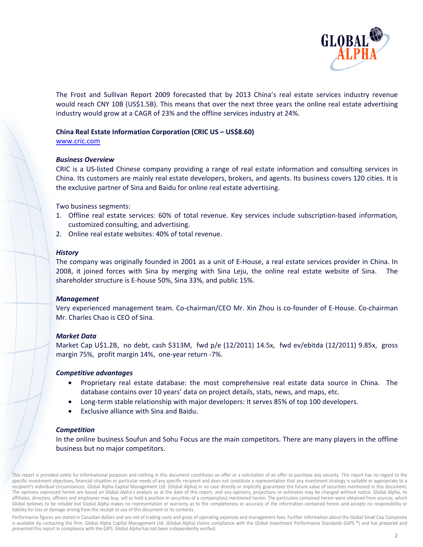

The Frost and Sullivan Report 2009 forecasted that by 2013 China's real estate services industry revenue would reach CNY 10B (US\$1.5B). This means that over the next three years the online real estate advertising industry would grow at a CAGR of 23% and the offline services industry at 24%.

## China Real Estate Information Corporation (CRIC US - US\$8.60)

www.cric.com

# **Business Overview**

CRIC is a US-listed Chinese company providing a range of real estate information and consulting services in China. Its customers are mainly real estate developers, brokers, and agents. Its business covers 120 cities. It is the exclusive partner of Sina and Baidu for online real estate advertising.

Two business segments:

- 1. Offline real estate services: 60% of total revenue. Key services include subscription-based information, customized consulting, and advertising.
- 2. Online real estate websites: 40% of total revenue.

### **History**

The company was originally founded in 2001 as a unit of E-House, a real estate services provider in China. In 2008, it joined forces with Sina by merging with Sina Leju, the online real estate website of Sina. The shareholder structure is E-house 50%, Sina 33%, and public 15%.

### **Management**

Very experienced management team. Co-chairman/CEO Mr. Xin Zhou is co-founder of E-House. Co-chairman Mr. Charles Chao is CEO of Sina.

### **Market Data**

Market Cap U\$1.2B, no debt, cash \$313M, fwd p/e (12/2011) 14.5x, fwd ev/ebitda (12/2011) 9.85x, gross margin 75%, profit margin 14%, one-year return -7%.

### **Competitive advantages**

- Proprietary real estate database: the most comprehensive real estate data source in China. The database contains over 10 years' data on project details, stats, news, and maps, etc.
- Long-term stable relationship with major developers: It serves 85% of top 100 developers.
- Exclusive alliance with Sina and Baidu.

### **Competition**

In the online business Soufun and Sohu Focus are the main competitors. There are many players in the offline business but no major competitors.

This report is provided solely for informational purposes and nothing in this document constitutes an offer or a solicitation of an offer to purchase any security. This report has no regard to the specific investment objectives, financial situation or particular needs of any specific recipient and does not constitute a representation that any investment strategy is suitable or appropriate to a recipient's individual circumstances. Global Alpha Capital Management Ltd. (Global Alpha) in no case directly or implicitly guarantees the future value of securities mentioned in this document. The opinions expressed herein are based on Global Alpha's analysis as at the date of this report, and any opinions, projections or estimates may be changed without notice. Global Alpha, its affiliates, directors, officers and employees may buy, sell or hold a position in securities of a company(ies) mentioned herein. The particulars contained herein were obtained from sources, which Global believes to be reliable but Global Alpha makes no representation or warranty as to the completeness or accuracy of the information contained herein and accepts no responsibility or liability for loss or damage arising from the receipt or use of this document or its contents.

Performance figures are stated in Canadian dollars and are net of trading costs and gross of operating expenses and management fees. Further information about the Global Small Cap Composite is available by contacting the firm. Global Alpha Capital Management Ltd. (Global Alpha) claims compliance with the Global Investment Performance Standards (GIPS ®) and has prepared and presented this report in compliance with the GIPS. Global Alpha has not been independently verified.